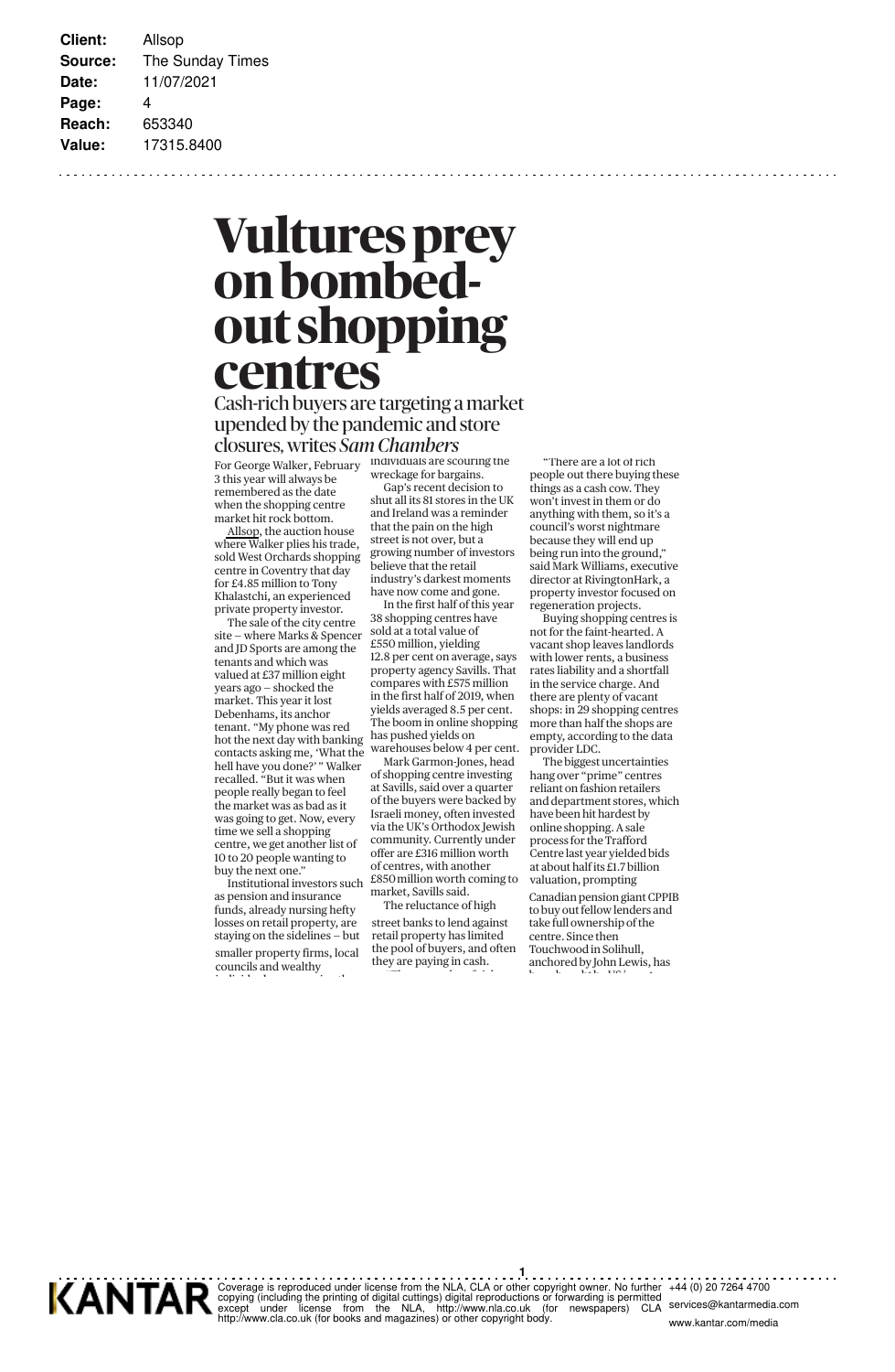**Client:** Allsop **Source:** The Sunday Times **Date:** 11/07/2021 **Page:** 4 **Reach:** 653340 **Value:** 17315.8400

## **Vultures prey on bombedout shopping centres**

Cash-rich buyers are targeting a market upended by the pandemic and store closures, writes *Sam Chambers*

3 this year will always be remembered as the date when the shopping centre market hit rock bottom.

Allsop, the auction house where Walker plies his trade, sold West Orchards shopping centre in Coventry that day for £4.85 million to Tony Khalastchi, an experienced private property investor.

The sale of the city centre site — where Marks & Spencer and JD Sports are among the tenants and which was valued at £37 million eight years ago — shocked the market. This year it lost Debenhams, its anchor tenant. "My phone was red hot the next day with banking contacts asking me, 'What the hell have you done?' " Walker recalled. "But it was when people really began to feel the market was as bad as it was going to get. Now, every time we sell a shopping centre, we get another list of 10 to 20 people wanting to buy the next one."

Institutional investors such as pension and insurance funds, already nursing hefty losses on retail property, are staying on the sidelines — but smaller property firms, local councils and wealthy

i di id l i th

For George Walker, February individuals are scouring the wreckage for bargains.

Gap's recent decision to shut all its 81 stores in the UK and Ireland was a reminder that the pain on the high street is not over, but a growing number of investors believe that the retail industry's darkest moments have now come and gone.

In the first half of this year 38 shopping centres have sold at a total value of £550 million, yielding 12.8 per cent on average, says property agency Savills. That compares with £575 million in the first half of 2019, when yields averaged 8.5 per cent. The boom in online shopping has pushed yields on warehouses below 4 per cent.

Mark Garmon-Jones, head of shopping centre investing at Savills, said over a quarter of the buyers were backed by Israeli money, often invested via the UK's Orthodox Jewish community. Currently under offer are £316 million worth of centres, with another £850 million worth coming to market, Savills said. The reluctance of high

street banks to lend against retail property has limited the pool of buyers, and often they are paying in cash. "The light of the first of the first of the first of the first of the first of the first of the first of the f<br>The first of the first of the first of the first of the first of the first of the first of the first of the fir

"There are a lot of rich people out there buying these things as a cash cow. They won't invest in them or do anything with them, so it's a council's worst nightmare because they will end up being run into the ground," said Mark Williams, executive director at RivingtonHark, a property investor focused on regeneration projects.

Buying shopping centres is not for the faint-hearted. A vacant shop leaves landlords with lower rents, a busines rates liability and a shortfall in the service charge. And there are plenty of vacant shops: in 29 shopping centres more than half the shops are empty, according to the data provider LDC.

The biggest uncertainties hang over "prime" centres reliant on fashion retailers and department stores, which have been hit hardest by online shopping. A sale process for the Trafford Centre last year yielded bids at about half its £1.7 billion valuation, prompting

Canadian pension giant CPPIB to buy out fellow lenders and take full ownership of the centre. Since then Touchwood in Solihull, anchored by John Lewis, has

b ht b ht b the use of the big in the use of the use of the use of the use of the use of the use of the use of <br>In the use of the use of the use of the use of the use of the use of the use of the use of the use of the use



**1** Coverage is reproduced under license from the NLA, CLA or other copyright owner. No further<br>copying (including the printing of digital cuttings) digital reproductions or forwarding is permitted<br>except under license from th

+44 (0) 20 7264 4700 services@kantarmedia.com www.kantar.com/media